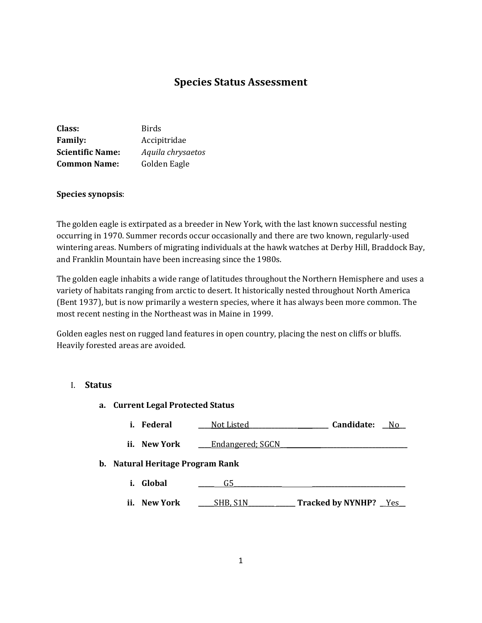# **Species Status Assessment**

| Class:                  | <b>Birds</b>      |
|-------------------------|-------------------|
| <b>Family:</b>          | Accipitridae      |
| <b>Scientific Name:</b> | Aquila chrysaetos |
| <b>Common Name:</b>     | Golden Eagle      |

### **Species synopsis**:

The golden eagle is extirpated as a breeder in New York, with the last known successful nesting occurring in 1970. Summer records occur occasionally and there are two known, regularly-used wintering areas. Numbers of migrating individuals at the hawk watches at Derby Hill, Braddock Bay, and Franklin Mountain have been increasing since the 1980s.

The golden eagle inhabits a wide range of latitudes throughout the Northern Hemisphere and uses a variety of habitats ranging from arctic to desert. It historically nested throughout North America (Bent 1937), but is now primarily a western species, where it has always been more common. The most recent nesting in the Northeast was in Maine in 1999.

Golden eagles nest on rugged land features in open country, placing the nest on cliffs or bluffs. Heavily forested areas are avoided.

#### I. **Status**

#### **a. Current Legal Protected Status**

| Candidate:<br>i. Federal<br>Not Listed | No |
|----------------------------------------|----|
|----------------------------------------|----|

**ii.** New York <u>\_\_\_\_Endangered; SGCN</u>

#### **b. Natural Heritage Program Rank**

- **i. Global \_\_\_\_\_** G5**\_\_\_\_\_\_\_\_\_\_\_\_\_\_\_ \_\_\_\_\_\_\_\_\_\_\_\_\_\_\_\_\_\_\_\_\_\_\_\_\_\_\_\_\_**
- **ii. New York SHB, S1N Tracked by NYNHP?** Yes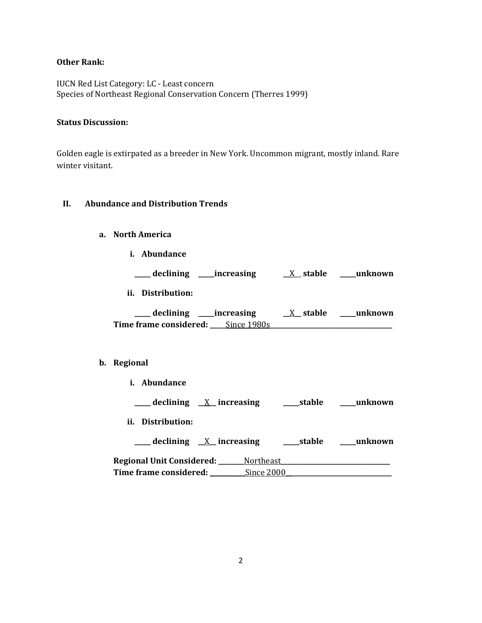#### **Other Rank:**

IUCN Red List Category: LC - Least concern Species of Northeast Regional Conservation Concern (Therres 1999)

#### **Status Discussion:**

Golden eagle is extirpated as a breeder in New York. Uncommon migrant, mostly inland. Rare winter visitant.

### **II. Abundance and Distribution Trends**

#### **a. North America**

**i. Abundance**

**\_\_\_\_\_ declining \_\_\_\_\_increasing \_\_**X\_\_ **stable \_\_\_\_\_unknown**

**ii. Distribution:**

**\_\_\_\_\_ declining \_\_\_\_\_increasing \_\_**X**\_\_ stable \_\_\_\_\_unknown Time frame considered: \_\_\_\_\_**Since 1980s**\_\_\_\_\_\_\_\_\_\_\_\_\_\_\_\_\_\_\_\_\_\_\_\_\_\_\_\_\_\_\_\_\_\_\_\_\_\_**

#### **b. Regional**

**i. Abundance**

**\_\_\_\_\_ declining \_\_**X**\_\_ increasing \_\_\_\_\_stable \_\_\_\_\_unknown**

**ii. Distribution:**

| declining $X$ increasing  |             | stable | unknown |
|---------------------------|-------------|--------|---------|
| Regional Unit Considered: | _Northeast_ |        |         |
| Time frame considered:    | Since 2000  |        |         |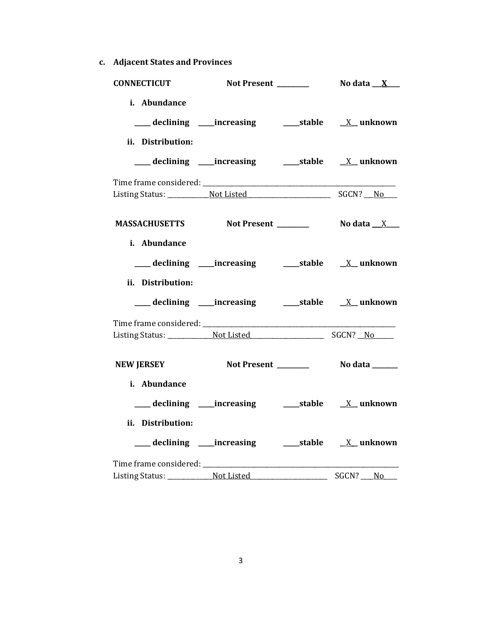**c. Adjacent States and Provinces**

| i. Abundance<br>ii. Distribution:<br>MASSACHUSETTS Not Present Modata X<br>i. Abundance<br>ii. Distribution:<br>Not Present No data _____<br><b>NEW JERSEY</b><br>i. Abundance<br>ii. Distribution:<br>___ declining ___increasing ______stable _____X__ unknown | <b>CONNECTICUT</b> |  |            |
|------------------------------------------------------------------------------------------------------------------------------------------------------------------------------------------------------------------------------------------------------------------|--------------------|--|------------|
|                                                                                                                                                                                                                                                                  |                    |  |            |
|                                                                                                                                                                                                                                                                  |                    |  |            |
|                                                                                                                                                                                                                                                                  |                    |  |            |
|                                                                                                                                                                                                                                                                  |                    |  |            |
|                                                                                                                                                                                                                                                                  |                    |  |            |
|                                                                                                                                                                                                                                                                  |                    |  |            |
|                                                                                                                                                                                                                                                                  |                    |  |            |
|                                                                                                                                                                                                                                                                  |                    |  |            |
|                                                                                                                                                                                                                                                                  |                    |  |            |
|                                                                                                                                                                                                                                                                  |                    |  |            |
|                                                                                                                                                                                                                                                                  |                    |  | $SGCN?$ No |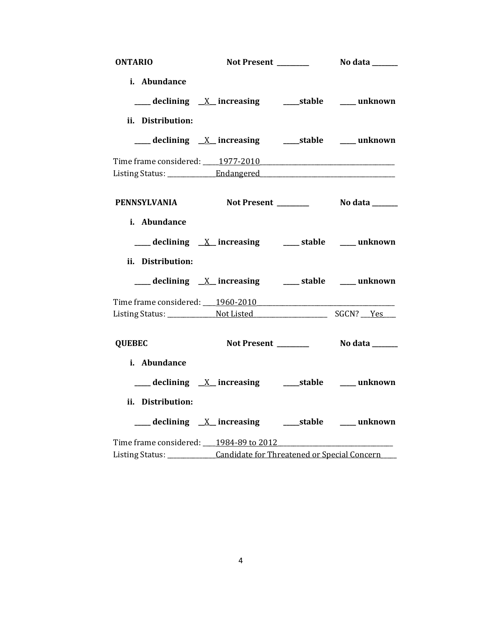| <b>ONTARIO</b>                    |                                                                         |  |
|-----------------------------------|-------------------------------------------------------------------------|--|
| i. Abundance                      |                                                                         |  |
|                                   | <u>___</u> declining <u>X</u> _ increasing  ____ stable  ___ unknown    |  |
| ii. Distribution:                 |                                                                         |  |
|                                   |                                                                         |  |
|                                   |                                                                         |  |
|                                   |                                                                         |  |
|                                   | PENNSYLVANIA Not Present No data _____                                  |  |
| i. Abundance<br>ii. Distribution: | ___ declining <u>X</u> increasing ___ stable ___ unknown                |  |
|                                   | ___ declining <u>X</u> increasing ___ stable ___ unknown                |  |
|                                   | Time frame considered: 1960-2010                                        |  |
| <b>QUEBEC</b>                     |                                                                         |  |
| i. Abundance                      |                                                                         |  |
|                                   |                                                                         |  |
| ii. Distribution:                 |                                                                         |  |
|                                   |                                                                         |  |
|                                   | Time frame considered: 1984-89 to 2012                                  |  |
|                                   | Listing Status: ____________Candidate for Threatened or Special Concern |  |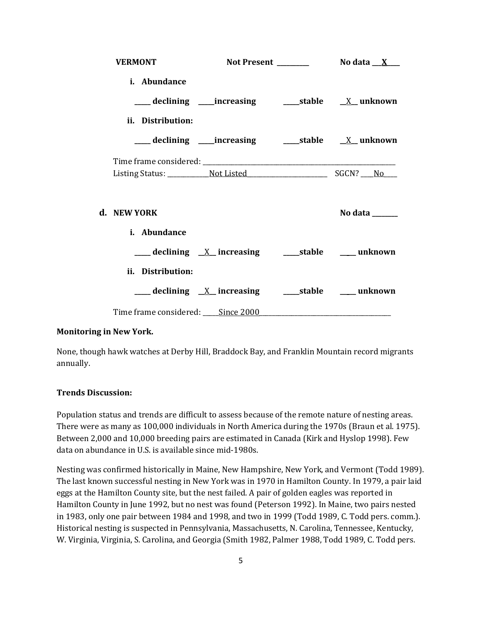| <b>VERMONT</b>                    |                                                           |                       |
|-----------------------------------|-----------------------------------------------------------|-----------------------|
| i. Abundance                      |                                                           |                       |
|                                   |                                                           |                       |
| ii. Distribution:                 |                                                           |                       |
|                                   |                                                           |                       |
|                                   |                                                           |                       |
|                                   |                                                           |                       |
| d. NEW YORK<br>i. Abundance       |                                                           | No data $\frac{1}{2}$ |
|                                   | ___ declining <u>X</u> increasing ____ stable ___ unknown |                       |
| ii. Distribution:                 |                                                           |                       |
|                                   |                                                           |                       |
| Time frame considered: Since 2000 |                                                           |                       |

### **Monitoring in New York.**

None, though hawk watches at Derby Hill, Braddock Bay, and Franklin Mountain record migrants annually.

#### **Trends Discussion:**

Population status and trends are difficult to assess because of the remote nature of nesting areas. There were as many as 100,000 individuals in North America during the 1970s (Braun et al. 1975). Between 2,000 and 10,000 breeding pairs are estimated in Canada (Kirk and Hyslop 1998). Few data on abundance in U.S. is available since mid-1980s.

Nesting was confirmed historically in Maine, New Hampshire, New York, and Vermont (Todd 1989). The last known successful nesting in New York was in 1970 in Hamilton County. In 1979, a pair laid eggs at the Hamilton County site, but the nest failed. A pair of golden eagles was reported in Hamilton County in June 1992, but no nest was found (Peterson 1992). In Maine, two pairs nested in 1983, only one pair between 1984 and 1998, and two in 1999 (Todd 1989, C. Todd pers. comm.). Historical nesting is suspected in Pennsylvania, Massachusetts, N. Carolina, Tennessee, Kentucky, W. Virginia, Virginia, S. Carolina, and Georgia (Smith 1982, Palmer 1988, Todd 1989, C. Todd pers.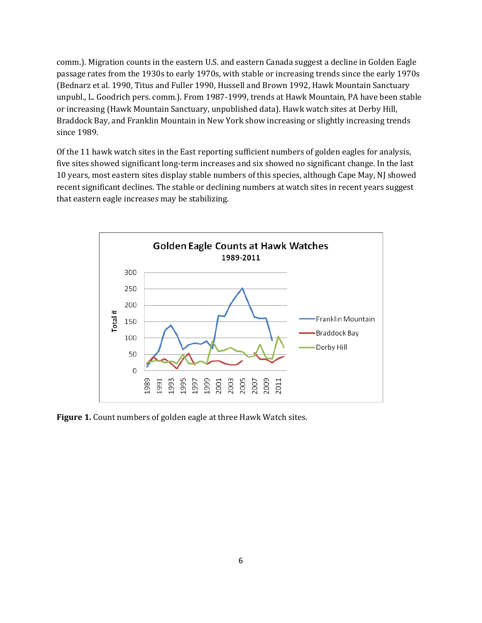comm.). Migration counts in the eastern U.S. and eastern Canada suggest a decline in Golden Eagle passage rates from the 1930s to early 1970s, with stable or increasing trends since the early 1970s (Bednarz et al. 1990, Titus and Fuller 1990, Hussell and Brown 1992, Hawk Mountain Sanctuary unpubl., L. Goodrich pers. comm.). From 1987-1999, trends at Hawk Mountain, PA have been stable or increasing (Hawk Mountain Sanctuary, unpublished data). Hawk watch sites at Derby Hill, Braddock Bay, and Franklin Mountain in New York show increasing or slightly increasing trends since 1989.

Of the 11 hawk watch sites in the East reporting sufficient numbers of golden eagles for analysis, five sites showed significant long-term increases and six showed no significant change. In the last 10 years, most eastern sites display stable numbers of this species, although Cape May, NJ showed recent significant declines. The stable or declining numbers at watch sites in recent years suggest that eastern eagle increases may be stabilizing.



**Figure 1.** Count numbers of golden eagle at three Hawk Watch sites.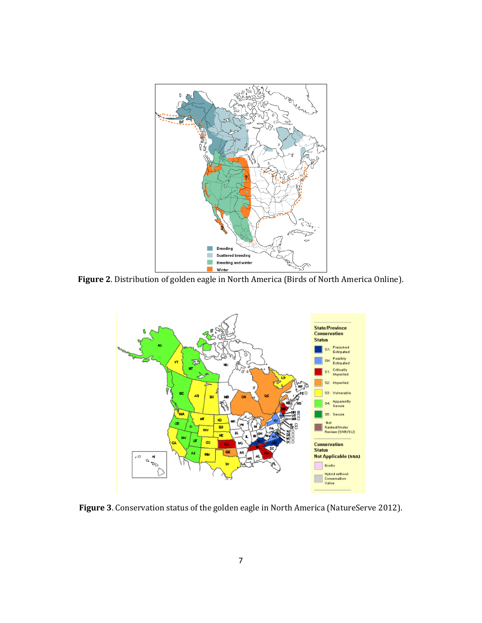

**Figure 2**. Distribution of golden eagle in North America (Birds of North America Online).



**Figure 3**. Conservation status of the golden eagle in North America (NatureServe 2012).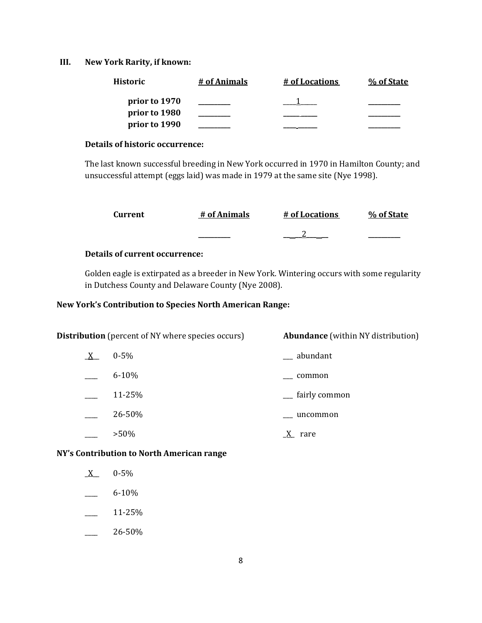### **III. New York Rarity, if known:**

| <b>Historic</b> | # of Animals | # of Locations | % of State |
|-----------------|--------------|----------------|------------|
| prior to 1970   |              |                |            |
| prior to 1980   |              |                |            |
| prior to 1990   |              |                |            |

### **Details of historic occurrence:**

The last known successful breeding in New York occurred in 1970 in Hamilton County; and unsuccessful attempt (eggs laid) was made in 1979 at the same site (Nye 1998).

| Current | # of Animals | # of Locations | % of State |
|---------|--------------|----------------|------------|
|         | _______      |                |            |

### **Details of current occurrence:**

Golden eagle is extirpated as a breeder in New York. Wintering occurs with some regularity in Dutchess County and Delaware County (Nye 2008).

# **New York's Contribution to Species North American Range:**

| <b>Distribution</b> (percent of NY where species occurs) |           | <b>Abundance</b> (within NY distribution) |
|----------------------------------------------------------|-----------|-------------------------------------------|
| $X_{-}$                                                  | $0 - 5\%$ | __ abundant                               |
|                                                          | $6 - 10%$ | common                                    |
|                                                          | 11-25%    | <sub>__</sub> fairly common               |
|                                                          | 26-50%    | uncommon                                  |
|                                                          | $>50\%$   | rare                                      |

**NY's Contribution to North American range**

- $X = 0.5\%$
- $-$  6-10%
- \_\_\_\_ 11-25%
- $-26-50%$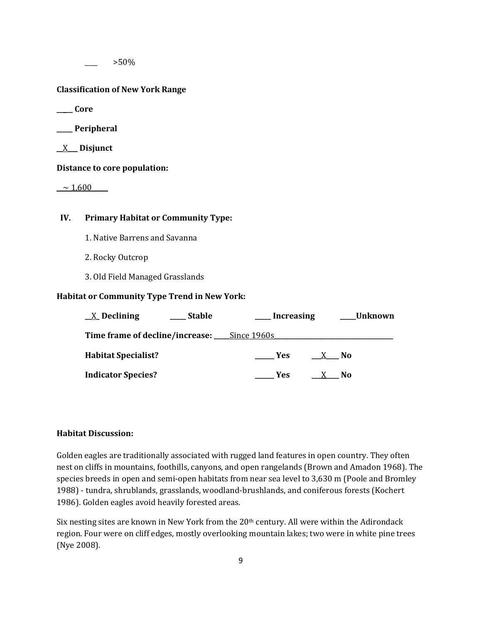$>50\%$ 

#### **Classification of New York Range**

**\_\_\_\_\_ Core**

**\_\_\_\_\_ Peripheral**

\_\_X\_\_\_ **Disjunct**

**Distance to core population:**

 $-$  1,600

### **IV. Primary Habitat or Community Type:**

- 1. Native Barrens and Savanna
- 2. Rocky Outcrop
- 3. Old Field Managed Grasslands

### **Habitat or Community Type Trend in New York:**

| $\underline{X}$ Declining                   | <b>Stable</b> | Increasing        |      | Unknown |
|---------------------------------------------|---------------|-------------------|------|---------|
| Time frame of decline/increase: Since 1960s |               |                   |      |         |
| <b>Habitat Specialist?</b>                  |               | <b>Example SE</b> | X No |         |
| <b>Indicator Species?</b>                   |               | Yes.              |      | No.     |

### **Habitat Discussion:**

Golden eagles are traditionally associated with rugged land features in open country. They often nest on cliffs in mountains, foothills, canyons, and open rangelands (Brown and Amadon 1968). The species breeds in open and semi-open habitats from near sea level to 3,630 m (Poole and Bromley 1988) - tundra, shrublands, grasslands, woodland-brushlands, and coniferous forests (Kochert 1986). Golden eagles avoid heavily forested areas.

Six nesting sites are known in New York from the  $20<sup>th</sup>$  century. All were within the Adirondack region. Four were on cliff edges, mostly overlooking mountain lakes; two were in white pine trees (Nye 2008).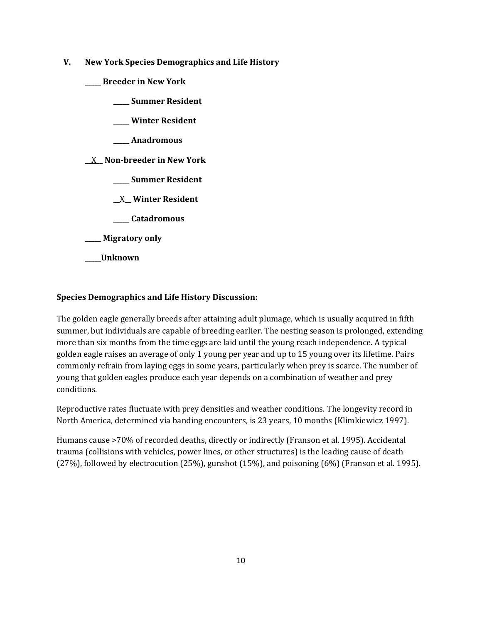- **V. New York Species Demographics and Life History**
	- **\_\_\_\_\_ Breeder in New York**
		- **\_\_\_\_\_ Summer Resident**
		- **\_\_\_\_\_ Winter Resident**
		- **\_\_\_\_\_ Anadromous**

**\_\_**X**\_\_ Non-breeder in New York**

- **\_\_\_\_\_ Summer Resident**
- **\_\_**X**\_\_ Winter Resident**
- **\_\_\_\_\_ Catadromous**
- **\_\_\_\_\_ Migratory only**
- **\_\_\_\_\_Unknown**

# **Species Demographics and Life History Discussion:**

The golden eagle generally breeds after attaining adult plumage, which is usually acquired in fifth summer, but individuals are capable of breeding earlier. The nesting season is prolonged, extending more than six months from the time eggs are laid until the young reach independence. A typical golden eagle raises an average of only 1 young per year and up to 15 young over its lifetime. Pairs commonly refrain from laying eggs in some years, particularly when prey is scarce. The number of young that golden eagles produce each year depends on a combination of weather and prey conditions.

Reproductive rates fluctuate with prey densities and weather conditions. The longevity record in North America, determined via banding encounters, is 23 years, 10 months (Klimkiewicz 1997).

Humans cause >70% of recorded deaths, directly or indirectly (Franson et al. 1995). Accidental trauma (collisions with vehicles, power lines, or other structures) is the leading cause of death (27%), followed by electrocution (25%), gunshot (15%), and poisoning (6%) (Franson et al. 1995).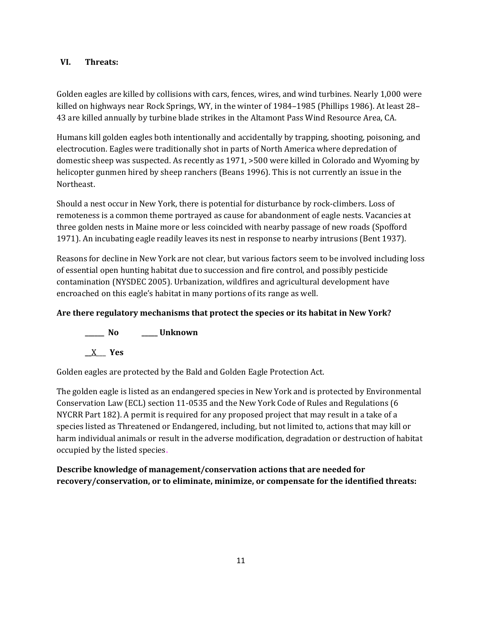### **VI. Threats:**

Golden eagles are killed by collisions with cars, fences, wires, and wind turbines. Nearly 1,000 were killed on highways near Rock Springs, WY, in the winter of 1984–1985 (Phillips 1986). At least 28– 43 are killed annually by turbine blade strikes in the Altamont Pass Wind Resource Area, CA.

Humans kill golden eagles both intentionally and accidentally by trapping, shooting, poisoning, and electrocution. Eagles were traditionally shot in parts of North America where depredation of domestic sheep was suspected. As recently as 1971, >500 were killed in Colorado and Wyoming by helicopter gunmen hired by sheep ranchers (Beans 1996). This is not currently an issue in the Northeast.

Should a nest occur in New York, there is potential for disturbance by rock-climbers. Loss of remoteness is a common theme portrayed as cause for abandonment of eagle nests. Vacancies at three golden nests in Maine more or less coincided with nearby passage of new roads (Spofford 1971). An incubating eagle readily leaves its nest in response to nearby intrusions (Bent 1937).

Reasons for decline in New York are not clear, but various factors seem to be involved including loss of essential open hunting habitat due to succession and fire control, and possibly pesticide contamination (NYSDEC 2005). Urbanization, wildfires and agricultural development have encroached on this eagle's habitat in many portions of its range as well.

# **Are there regulatory mechanisms that protect the species or its habitat in New York?**

**\_\_\_\_\_\_ No \_\_\_\_\_ Unknown**

**\_\_**X\_\_\_ **Yes** 

Golden eagles are protected by the Bald and Golden Eagle Protection Act.

The golden eagle is listed as an endangered species in New York and is protected by Environmental Conservation Law (ECL) section 11-0535 and the New York Code of Rules and Regulations (6 NYCRR Part 182). A permit is required for any proposed project that may result in a take of a species listed as Threatened or Endangered, including, but not limited to, actions that may kill or harm individual animals or result in the adverse modification, degradation or destruction of habitat occupied by the listed species.

**Describe knowledge of management/conservation actions that are needed for recovery/conservation, or to eliminate, minimize, or compensate for the identified threats:**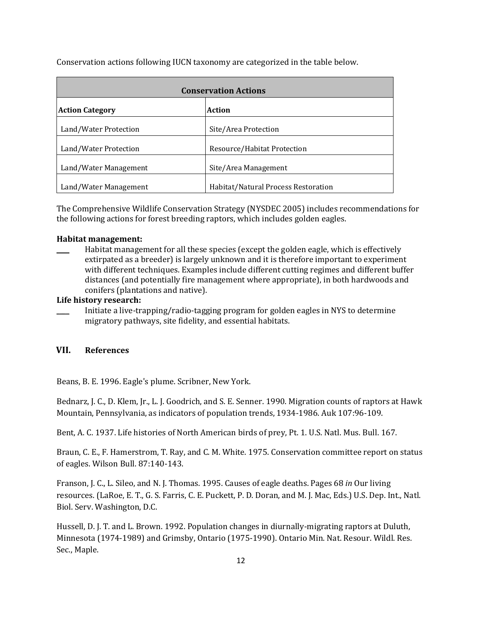Conservation actions following IUCN taxonomy are categorized in the table below.

| <b>Conservation Actions</b> |                                     |  |
|-----------------------------|-------------------------------------|--|
| <b>Action Category</b>      | Action                              |  |
| Land/Water Protection       | Site/Area Protection                |  |
| Land/Water Protection       | Resource/Habitat Protection         |  |
| Land/Water Management       | Site/Area Management                |  |
| Land/Water Management       | Habitat/Natural Process Restoration |  |

The Comprehensive Wildlife Conservation Strategy (NYSDEC 2005) includes recommendations for the following actions for forest breeding raptors, which includes golden eagles.

### **Habitat management:**

Habitat management for all these species (except the golden eagle, which is effectively extirpated as a breeder) is largely unknown and it is therefore important to experiment with different techniques. Examples include different cutting regimes and different buffer distances (and potentially fire management where appropriate), in both hardwoods and conifers (plantations and native).

### **Life history research:**

Initiate a live-trapping/radio-tagging program for golden eagles in NYS to determine migratory pathways, site fidelity, and essential habitats.

# **VII. References**

Beans, B. E. 1996. Eagle's plume. Scribner, New York.

Bednarz, J. C., D. Klem, Jr., L. J. Goodrich, and S. E. Senner. 1990. Migration counts of raptors at Hawk Mountain, Pennsylvania, as indicators of population trends, 1934-1986. Auk 107:96-109.

Bent, A. C. 1937. Life histories of North American birds of prey, Pt. 1. U.S. Natl. Mus. Bull. 167.

Braun, C. E., F. Hamerstrom, T. Ray, and C. M. White. 1975. Conservation committee report on status of eagles. Wilson Bull. 87:140-143.

Franson, J. C., L. Sileo, and N. J. Thomas. 1995. Causes of eagle deaths. Pages 68 *in* Our living resources. (LaRoe, E. T., G. S. Farris, C. E. Puckett, P. D. Doran, and M. J. Mac, Eds.) U.S. Dep. Int., Natl. Biol. Serv. Washington, D.C.

Hussell, D. J. T. and L. Brown. 1992. Population changes in diurnally-migrating raptors at Duluth, Minnesota (1974-1989) and Grimsby, Ontario (1975-1990). Ontario Min. Nat. Resour. Wildl. Res. Sec., Maple.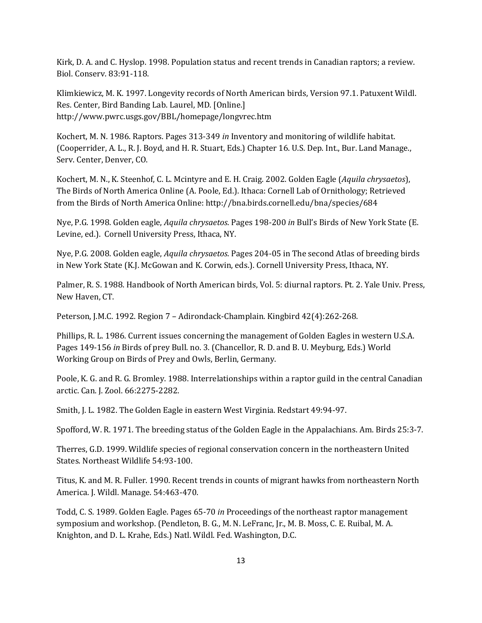Kirk, D. A. and C. Hyslop. 1998. Population status and recent trends in Canadian raptors; a review. Biol. Conserv. 83:91-118.

Klimkiewicz, M. K. 1997. Longevity records of North American birds, Version 97.1. Patuxent Wildl. Res. Center, Bird Banding Lab. Laurel, MD. [Online.] http://www.pwrc.usgs.gov/BBL/homepage/longvrec.htm

Kochert, M. N. 1986. Raptors. Pages 313-349 *in* Inventory and monitoring of wildlife habitat. (Cooperrider, A. L., R. J. Boyd, and H. R. Stuart, Eds.) Chapter 16. U.S. Dep. Int., Bur. Land Manage., Serv. Center, Denver, CO.

Kochert, M. N., K. Steenhof, C. L. Mcintyre and E. H. Craig. 2002. Golden Eagle (*Aquila chrysaetos*), The Birds of North America Online (A. Poole, Ed.). Ithaca: Cornell Lab of Ornithology; Retrieved from the Birds of North America Online: http://bna.birds.cornell.edu/bna/species/684

Nye, P.G. 1998. Golden eagle, *Aquila chrysaetos*. Pages 198-200 *in* Bull's Birds of New York State (E. Levine, ed.). Cornell University Press, Ithaca, NY.

Nye, P.G. 2008. Golden eagle, *Aquila chrysaetos*. Pages 204-05 in The second Atlas of breeding birds in New York State (K.J. McGowan and K. Corwin, eds.). Cornell University Press, Ithaca, NY.

Palmer, R. S. 1988. Handbook of North American birds, Vol. 5: diurnal raptors. Pt. 2. Yale Univ. Press, New Haven, CT.

Peterson, J.M.C. 1992. Region 7 – Adirondack-Champlain. Kingbird 42(4):262-268.

Phillips, R. L. 1986. Current issues concerning the management of Golden Eagles in western U.S.A. Pages 149-156 *in* Birds of prey Bull. no. 3. (Chancellor, R. D. and B. U. Meyburg, Eds.) World Working Group on Birds of Prey and Owls, Berlin, Germany.

Poole, K. G. and R. G. Bromley. 1988. Interrelationships within a raptor guild in the central Canadian arctic. Can. J. Zool. 66:2275-2282.

Smith, J. L. 1982. The Golden Eagle in eastern West Virginia. Redstart 49:94-97.

Spofford, W. R. 1971. The breeding status of the Golden Eagle in the Appalachians. Am. Birds 25:3-7.

Therres, G.D. 1999. Wildlife species of regional conservation concern in the northeastern United States. Northeast Wildlife 54:93-100.

Titus, K. and M. R. Fuller. 1990. Recent trends in counts of migrant hawks from northeastern North America. J. Wildl. Manage. 54:463-470.

Todd, C. S. 1989. Golden Eagle. Pages 65-70 *in* Proceedings of the northeast raptor management symposium and workshop. (Pendleton, B. G., M. N. LeFranc, Jr., M. B. Moss, C. E. Ruibal, M. A. Knighton, and D. L. Krahe, Eds.) Natl. Wildl. Fed. Washington, D.C.